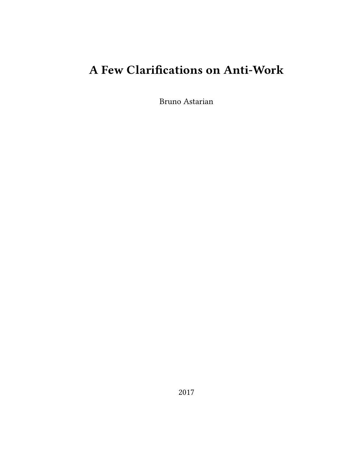# **A Few Clarifications on Anti-Work**

Bruno Astarian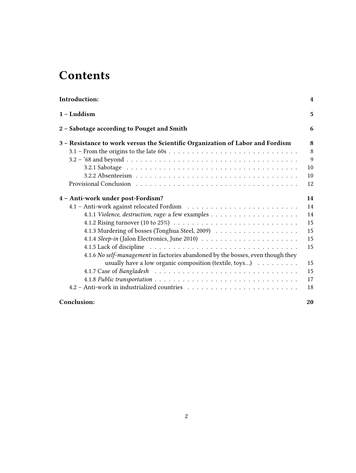# **Contents**

| Introduction:                                                                               | 4            |
|---------------------------------------------------------------------------------------------|--------------|
| $1 -$ Luddism                                                                               | 5            |
| 2 – Sabotage according to Pouget and Smith                                                  | 6            |
| 3 - Resistance to work versus the Scientific Organization of Labor and Fordism              | 8            |
|                                                                                             | 8            |
|                                                                                             | $\mathbf{Q}$ |
|                                                                                             | 10           |
|                                                                                             | 10           |
|                                                                                             | 12           |
| 4 - Anti-work under post-Fordism?                                                           | 14           |
|                                                                                             | 14           |
|                                                                                             | 14           |
| 4.1.2 Rising turnover (10 to 25%) $\ldots \ldots \ldots \ldots \ldots \ldots \ldots \ldots$ | 15           |
|                                                                                             | 15           |
|                                                                                             | 15           |
|                                                                                             | 15           |
| 4.1.6 No self-management in factories abandoned by the bosses, even though they             |              |
| usually have a low organic composition (textile, toys)                                      | 15           |
|                                                                                             | 15           |
|                                                                                             | 17           |
|                                                                                             | 18           |
| Conclusion:                                                                                 | 20           |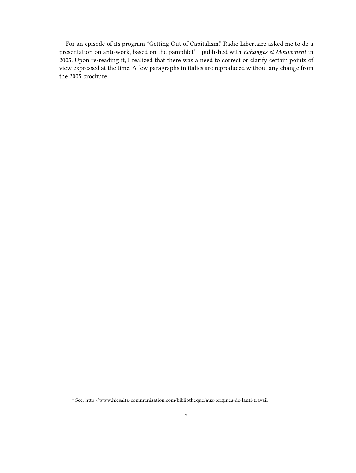For an episode of its program "Getting Out of Capitalism," Radio Libertaire asked me to do a presentation on anti-work, based on the pamphlet<sup>1</sup> I published with *Echanges et Mouvement* in 2005. Upon re-reading it, I realized that there was a need to correct or clarify certain points of view expressed at the time. A few paragraphs in italics are reproduced without any change from the 2005 brochure.

<sup>&</sup>lt;sup>1</sup> See: http://www.hicsalta-communisation.com/bibliotheque/aux-origines-de-lanti-travail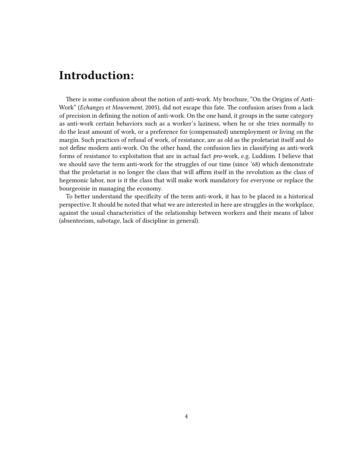## <span id="page-3-0"></span>**Introduction:**

There is some confusion about the notion of anti-work. My brochure, "On the Origins of Anti-Work" (*Echanges et Mouvement*, 2005), did not escape this fate. The confusion arises from a lack of precision in defining the notion of anti-work. On the one hand, it groups in the same category as anti-work certain behaviors such as a worker's laziness, when he or she tries normally to do the least amount of work, or a preference for (compensated) unemployment or living on the margin. Such practices of refusal of work, of resistance, are as old as the proletariat itself and do not define modern anti-work. On the other hand, the confusion lies in classifying as anti-work forms of resistance to exploitation that are in actual fact *pro*-work, e.g. Luddism. I believe that we should save the term anti-work for the struggles of our time (since '68) which demonstrate that the proletariat is no longer the class that will affirm itself in the revolution as the class of hegemonic labor, nor is it the class that will make work mandatory for everyone or replace the bourgeoisie in managing the economy.

To better understand the specificity of the term anti-work, it has to be placed in a historical perspective. It should be noted that what we are interested in here are struggles in the workplace, against the usual characteristics of the relationship between workers and their means of labor (absenteeism, sabotage, lack of discipline in general).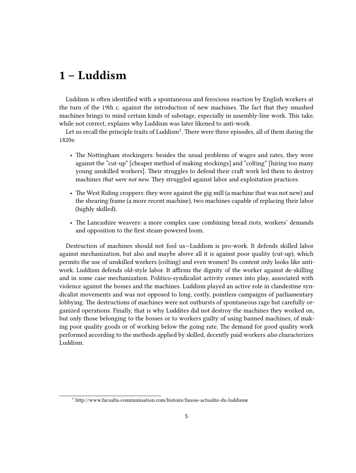## <span id="page-4-0"></span>**1 – Luddism**

Luddism is often identified with a spontaneous and ferocious reaction by English workers at the turn of the 19th c. against the introduction of new machines. The fact that they smashed machines brings to mind certain kinds of sabotage, especially in assembly-line work. This take, while not correct, explains why Luddism was later likened to anti-work.

Let us recall the principle traits of Luddism $^1.$  There were three episodes, all of them during the 1820s:

- The Nottingham stockingers: besides the usual problems of wages and rates, they were against the "cut-up" [cheaper method of making stockings] and "colting" [hiring too many young unskilled workers]. Their struggles to defend their craft work led them to destroy machines *that were not new*. They struggled against labor and exploitation practices.
- The West Riding croppers: they were against the gig mill (a machine that was not new) and the shearing frame (a more recent machine), two machines capable of replacing their labor (highly skilled).
- The Lancashire weavers: a more complex case combining bread riots, workers' demands and opposition to the first steam-powered loom.

Destruction of machines should not fool us—Luddism is pro-work. It defends skilled labor against mechanization, but also and maybe above all it is against poor quality (cut-up), which permits the use of unskilled workers (colting) and even women! Its content only looks like antiwork. Luddism defends old-style labor. It affirms the dignity of the worker against de-skilling and in some case mechanization. Politico-syndicalist activity comes into play, associated with violence against the bosses and the machines. Luddism played an active role in clandestine syndicalist movements and was not opposed to long, costly, pointless campaigns of parliamentary lobbying. The destructions of machines were not outbursts of spontaneous rage but carefully organized operations. Finally, that is why Luddites did not destroy the machines they worked on, but only those belonging to the bosses or to workers guilty of using banned machines, of making poor quality goods or of working below the going rate. The demand for good quality work performed according to the methods applied by skilled, decently paid workers *also* characterizes Luddism.

<sup>1</sup> http://www.hicsalta-communisation.com/histoire/fausse-actualite-du-luddisme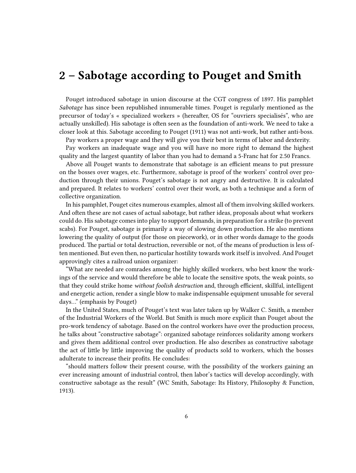## <span id="page-5-0"></span>**2 – Sabotage according to Pouget and Smith**

Pouget introduced sabotage in union discourse at the CGT congress of 1897. His pamphlet *Sabotage* has since been republished innumerable times. Pouget is regularly mentioned as the precursor of today's « specialized workers » (hereafter, OS for "ouvriers specialisés", who are actually unskilled). His sabotage is often seen as the foundation of anti-work. We need to take a closer look at this. Sabotage according to Pouget (1911) was not anti-work, but rather anti-boss.

Pay workers a proper wage and they will give you their best in terms of labor and dexterity.

Pay workers an inadequate wage and you will have no more right to demand the highest quality and the largest quantity of labor than you had to demand a 5-Franc hat for 2.50 Francs.

Above all Pouget wants to demonstrate that sabotage is an efficient means to put pressure on the bosses over wages, etc. Furthermore, sabotage is proof of the workers' control over production through their unions. Pouget's sabotage is not angry and destructive. It is calculated and prepared. It relates to workers' control over their work, as both a technique and a form of collective organization.

In his pamphlet, Pouget cites numerous examples, almost all of them involving skilled workers. And often these are not cases of actual sabotage, but rather ideas, proposals about what workers could do. His sabotage comes into play to support demands, in preparation for a strike (to prevent scabs). For Pouget, sabotage is primarily a way of slowing down production. He also mentions lowering the quality of output (for those on piecework), or in other words damage to the goods produced. The partial or total destruction, reversible or not, of the means of production is less often mentioned. But even then, no particular hostility towards work itself is involved. And Pouget approvingly cites a railroad union organizer:

"What are needed are comrades among the highly skilled workers, who best know the workings of the service and would therefore be able to locate the sensitive spots, the weak points, so that they could strike home *without foolish destruction* and, through efficient, skillful, intelligent and energetic action, render a single blow to make indispensable equipment unusable for several days…" (emphasis by Pouget)

In the United States, much of Pouget's text was later taken up by Walker C. Smith, a member of the Industrial Workers of the World. But Smith is much more explicit than Pouget about the pro-work tendency of sabotage. Based on the control workers have over the production process, he talks about "constructive sabotage": organized sabotage reinforces solidarity among workers and gives them additional control over production. He also describes as constructive sabotage the act of little by little improving the quality of products sold to workers, which the bosses adulterate to increase their profits. He concludes:

"should matters follow their present course, with the possibility of the workers gaining an ever increasing amount of industrial control, then labor's tactics will develop accordingly, with constructive sabotage as the result" (WC Smith, Sabotage: Its History, Philosophy & Function, 1913).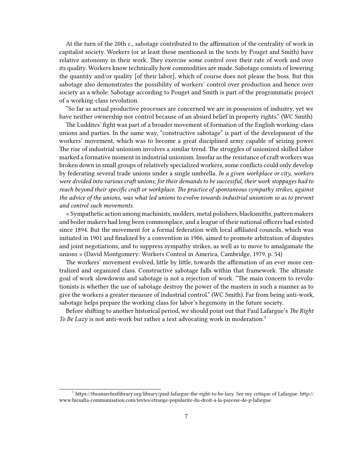At the turn of the 20th c., sabotage contributed to the affirmation of the centrality of work in capitalist society. Workers (or at least those mentioned in the texts by Pouget and Smith) have relative autonomy in their work. They exercise some control over their rate of work and over its quality. Workers know technically how commodities are made. Sabotage consists of lowering the quantity and/or quality [of their labor], which of course does not please the boss. But this sabotage also demonstrates the possibility of workers' control over production and hence over society as a whole. Sabotage according to Pouget and Smith is part of the programmatic project of a working-class revolution.

"So far as actual productive processes are concerned we are in possession of industry, yet we have neither ownership nor control because of an absurd belief in property rights." (WC Smith)

The Luddites' fight was part of a broader movement of formation of the English working-class unions and parties. In the same way, "constructive sabotage" is part of the development of the workers' movement, which was to become a great disciplined army capable of seizing power. The rise of industrial unionism involves a similar trend. The struggles of unionized skilled labor marked a formative moment in industrial unionism. Insofar as the resistance of craft workers was broken down in small groups of relatively specialized workers, some conflicts could only develop by federating several trade unions under a single umbrella. *In a given workplace or city, workers were divided into various craft unions; for their demands to be successful, their work stoppages had to reach beyond their specific craft or workplace. The practice of spontaneous sympathy strikes, against the advice of the unions, was what led unions to evolve towards industrial unionism so as to prevent and control such movements.*

« Sympathetic action among machinists, molders, metal polishers, blacksmiths, pattern makers and boiler makers had long been commonplace, and a league of their national officers had existed since 1894. But the movement for a formal federation with local affiliated councils, which was initiated in 1901 and finalized by a convention in 1906, aimed to promote arbitration of disputes and joint negotiations, and to suppress sympathy strikes, as well as to move to amalgamate the unions » (David Montgomery: Workers Control in America, Cambridge, 1979, p. 54)

The workers' movement evolved, little by little, towards the affirmation of an ever more centralized and organized class. Constructive sabotage falls within that framework. The ultimate goal of work slowdowns and sabotage is not a rejection of work. "The main concern to revolutionists is whether the use of sabotage destroy the power of the masters in such a manner as to give the workers a greater measure of industrial control." (WC Smith). Far from being anti-work, sabotage helps prepare the working class for labor's hegemony in the future society.

Before shifting to another historical period, we should point out that Paul Lafargue's *The Right To Be Lazy* is not anti-work but rather a text advocating work in moderation.<sup>1</sup>

<sup>1</sup> https://theanarchistlibrary.org/library/paul-lafargue-the-right-to-be-lazy. See my critique of Lafargue: http:// www.hicsalta-communisation.com/textes/etrange-popularite-du-droit-a-la-paresse-de-p-lafargue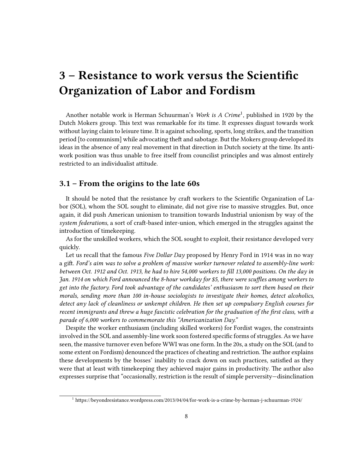# <span id="page-7-0"></span>**3 – Resistance to work versus the Scientific Organization of Labor and Fordism**

Another notable work is Herman Schuurman's *Work is A Crime*<sup>1</sup> , published in 1920 by the Dutch Mokers group. This text was remarkable for its time. It expresses disgust towards work without laying claim to leisure time. It is against schooling, sports, long strikes, and the transition period [to communism] while advocating theft and sabotage. But the Mokers group developed its ideas in the absence of any real movement in that direction in Dutch society at the time. Its antiwork position was thus unable to free itself from councilist principles and was almost entirely restricted to an individualist attitude.

## <span id="page-7-1"></span>**3.1 – From the origins to the late 60s**

It should be noted that the resistance by craft workers to the Scientific Organization of Labor (SOL), whom the SOL sought to eliminate, did not give rise to massive struggles. But, once again, it did push American unionism to transition towards Industrial unionism by way of the *system federations*, a sort of craft-based inter-union, which emerged in the struggles against the introduction of timekeeping.

As for the unskilled workers, which the SOL sought to exploit, their resistance developed very quickly.

Let us recall that the famous *Five Dollar Day* proposed by Henry Ford in 1914 was in no way a gift. *Ford's aim was to solve a problem of massive worker turnover related to assembly-line work: between Oct. 1912 and Oct. 1913, he had to hire 54,000 workers to fill 13,000 positions. On the day in Jan. 1914 on which Ford announced the 8-hour workday for \$5, there were scuffles among workers to get into the factory. Ford took advantage of the candidates' enthusiasm to sort them based on their morals, sending more than 100 in-house sociologists to investigate their homes, detect alcoholics, detect any lack of cleanliness or unkempt children. He then set up compulsory English courses for recent immigrants and threw a huge fascistic celebration for the graduation of the first class, with a parade of 6,000 workers to commemorate this "Americanization Day."*

Despite the worker enthusiasm (including skilled workers) for Fordist wages, the constraints involved in the SOL and assembly-line work soon fostered specific forms of struggles. As we have seen, the massive turnover even before WWI was one form. In the 20s, a study on the SOL (and to some extent on Fordism) denounced the practices of cheating and restriction. The author explains these developments by the bosses' inability to crack down on such practices, satisfied as they were that at least with timekeeping they achieved major gains in productivity. The author also expresses surprise that "occasionally, restriction is the result of simple perversity—disinclination

<sup>1</sup> https://beyondresistance.wordpress.com/2013/04/04/for-work-is-a-crime-by-herman-j-schuurman-1924/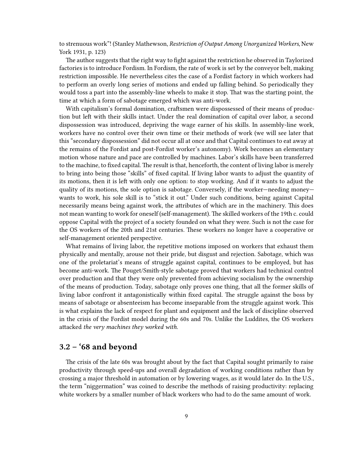to strenuous work"! (Stanley Mathewson, *Restriction of Output Among Unorganized Workers*, New York 1931, p. 123)

The author suggests that the right way to fight against the restriction he observed in Taylorized factories is to introduce Fordism. In Fordism, the rate of work is set by the conveyor belt, making restriction impossible. He nevertheless cites the case of a Fordist factory in which workers had to perform an overly long series of motions and ended up falling behind. So periodically they would toss a part into the assembly-line wheels to make it stop. That was the starting point, the time at which a form of sabotage emerged which was anti-work.

With capitalism's formal domination, craftsmen were dispossessed of their means of production but left with their skills intact. Under the real domination of capital over labor, a second dispossession was introduced, depriving the wage earner of his skills. In assembly-line work, workers have no control over their own time or their methods of work (we will see later that this "secondary dispossession" did not occur all at once and that Capital continues to eat away at the remains of the Fordist and post-Fordist worker's autonomy). Work becomes an elementary motion whose nature and pace are controlled by machines. Labor's skills have been transferred to the machine, to fixed capital. The result is that, henceforth, the content of living labor is merely to bring into being those "skills" of fixed capital. If living labor wants to adjust the quantity of its motions, then it is left with only one option: to stop working. And if it wants to adjust the quality of its motions, the sole option is sabotage. Conversely, if the worker—needing money wants to work, his sole skill is to "stick it out." Under such conditions, being against Capital necessarily means being against work, the attributes of which are in the machinery. This does not mean wanting to work for oneself (self-management). The skilled workers of the 19th c. could oppose Capital with the project of a society founded on what they were. Such is not the case for the OS workers of the 20th and 21st centuries. These workers no longer have a cooperative or self-management oriented perspective.

What remains of living labor, the repetitive motions imposed on workers that exhaust them physically and mentally, arouse not their pride, but disgust and rejection. Sabotage, which was one of the proletariat's means of struggle against capital, continues to be employed, but has become anti-work. The Pouget/Smith-style sabotage proved that workers had technical control over production and that they were only prevented from achieving socialism by the ownership of the means of production. Today, sabotage only proves one thing, that all the former skills of living labor confront it antagonistically within fixed capital. The struggle against the boss by means of sabotage or absenteeism has become inseparable from the struggle against work. This is what explains the lack of respect for plant and equipment and the lack of discipline observed in the crisis of the Fordist model during the 60s and 70s. Unlike the Luddites, the OS workers attacked *the very machines they worked with.*

## <span id="page-8-0"></span>**3.2 – '68 and beyond**

The crisis of the late 60s was brought about by the fact that Capital sought primarily to raise productivity through speed-ups and overall degradation of working conditions rather than by crossing a major threshold in automation or by lowering wages, as it would later do. In the U.S., the term "niggermation" was coined to describe the methods of raising productivity: replacing white workers by a smaller number of black workers who had to do the same amount of work.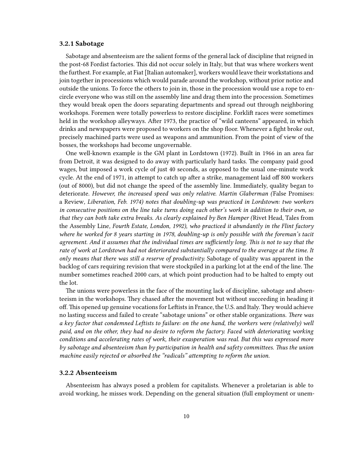#### <span id="page-9-0"></span>**3.2.1 Sabotage**

Sabotage and absenteeism are the salient forms of the general lack of discipline that reigned in the post-68 Fordist factories. This did not occur solely in Italy, but that was where workers went the furthest. For example, at Fiat [Italian automaker], workers would leave their workstations and join together in processions which would parade around the workshop, without prior notice and outside the unions. To force the others to join in, those in the procession would use a rope to encircle everyone who was still on the assembly line and drag them into the procession. Sometimes they would break open the doors separating departments and spread out through neighboring workshops. Foremen were totally powerless to restore discipline. Forklift races were sometimes held in the workshop alleyways. After 1973, the practice of "wild canteens" appeared, in which drinks and newspapers were proposed to workers on the shop floor. Whenever a fight broke out, precisely machined parts were used as weapons and ammunition. From the point of view of the bosses, the workshops had become ungovernable.

One well-known example is the GM plant in Lordstown (1972). Built in 1966 in an area far from Detroit, it was designed to do away with particularly hard tasks. The company paid good wages, but imposed a work cycle of just 40 seconds, as opposed to the usual one-minute work cycle. At the end of 1971, in attempt to catch up after a strike, management laid off 800 workers (out of 8000), but did not change the speed of the assembly line. Immediately, quality began to deteriorate. *However, the increased speed was only relative. Martin Glaberman (*False Promises: a Review*, Liberation, Feb. 1974) notes that doubling-up was practiced in Lordstown: two workers in consecutive positions on the line take turns doing each other's work in addition to their own, so that they can both take extra breaks. As clearly explained by Ben Hamper (*Rivet Head, Tales from the Assembly Line*, Fourth Estate, London, 1992), who practiced it abundantly in the Flint factory where he worked for 8 years starting in 1978, doubling-up is only possible with the foreman's tacit agreement. And it assumes that the individual times are sufficiently long. This is not to say that the rate of work at Lordstown had not deteriorated substantially compared to the average at the time. It only means that there was still a reserve of productivity.* Sabotage of quality was apparent in the backlog of cars requiring revision that were stockpiled in a parking lot at the end of the line. The number sometimes reached 2000 cars, at which point production had to be halted to empty out the lot.

The unions were powerless in the face of the mounting lack of discipline, sabotage and absenteeism in the workshops. They chased after the movement but without succeeding in heading it off. This opened up genuine vocations for Leftists in France, the U.S. and Italy. They would achieve no lasting success and failed to create "sabotage unions" or other stable organizations. *There was a key factor that condemned Leftists to failure: on the one hand, the workers were (relatively) well paid, and on the other, they had no desire to reform the factory. Faced with deteriorating working conditions and accelerating rates of work, their exasperation was real. But this was expressed more by sabotage and absenteeism than by participation in health and safety committees. Thus the union machine easily rejected or absorbed the "radicals" attempting to reform the union.*

#### <span id="page-9-1"></span>**3.2.2 Absenteeism**

Absenteeism has always posed a problem for capitalists. Whenever a proletarian is able to avoid working, he misses work. Depending on the general situation (full employment or unem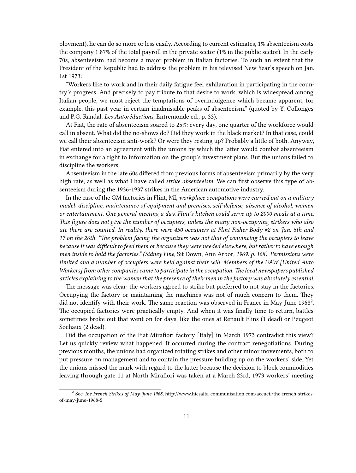ployment), he can do so more or less easily. According to current estimates, 1% absenteeism costs the company 1.87% of the total payroll in the private sector (1% in the public sector). In the early 70s, absenteeism had become a major problem in Italian factories. To such an extent that the President of the Republic had to address the problem in his televised New Year's speech on Jan. 1st 1973:

"Workers like to work and in their daily fatigue feel exhilaration in participating in the country's progress. And precisely to pay tribute to that desire to work, which is widespread among Italian people, we must reject the temptations of overindulgence which became apparent, for example, this past year in certain inadmissible peaks of absenteeism." (quoted by Y. Collonges and P.G. Randal, *Les Autoréductions*, Entremonde ed., p. 33).

At Fiat, the rate of absenteeism soared to 25%: every day, one quarter of the workforce would call in absent. What did the no-shows do? Did they work in the black market? In that case, could we call their absenteeism anti-work? Or were they resting up? Probably a little of both. Anyway, Fiat entered into an agreement with the unions by which the latter would combat absenteeism in exchange for a right to information on the group's investment plans. But the unions failed to discipline the workers.

Absenteeism in the late 60s differed from previous forms of absenteeism primarily by the very high rate, as well as what I have called *strike absenteeism.* We can first observe this type of absenteeism during the 1936-1937 strikes in the American automotive industry.

In the case of the GM factories in Flint, MI, *workplace occupations were carried out on a military model: discipline, maintenance of equipment and premises, self-defense, absence of alcohol, women or entertainment. One general meeting a day. Flint's kitchen could serve up to 2000 meals at a time. This figure does not give the number of occupiers, unless the many non-occupying strikers who also ate there are counted. In reality, there were 450 occupiers at Flint Fisher Body #2 on Jan. 5th and 17 on the 26th. "The problem facing the organizers was not that of convincing the occupiers to leave because it was difficult to feed them or because they were needed elsewhere, but rather to have enough men inside to hold the factories." (Sidney Fine,* Sit Down, Ann Arbor*, 1969. p. 168). Permissions were limited and a number of occupiers were held against their will. Members of the UAW [United Auto Workers] from other companies came to participate in the occupation. The local newspapers published articles explaining to the women that the presence of their men in the factory was absolutely essential.*

The message was clear: the workers agreed to strike but preferred to not stay in the factories. Occupying the factory or maintaining the machines was not of much concern to them. They did not identify with their work. The same reaction was observed in France in May-June 1968<sup>2</sup>. The occupied factories were practically empty. And when it was finally time to return, battles sometimes broke out that went on for days, like the ones at Renault Flins (1 dead) or Peugeot Sochaux (2 dead).

Did the occupation of the Fiat Mirafiori factory [Italy] in March 1973 contradict this view? Let us quickly review what happened. It occurred during the contract renegotiations. During previous months, the unions had organized rotating strikes and other minor movements, both to put pressure on management and to contain the pressure building up on the workers' side. Yet the unions missed the mark with regard to the latter because the decision to block commodities leaving through gate 11 at North Mirafiori was taken at a March 23rd, 1973 workers' meeting

<sup>2</sup> See *The French Strikes of May-June 1968*, http://www.hicsalta-communisation.com/accueil/the-french-strikesof-may-june-1968-5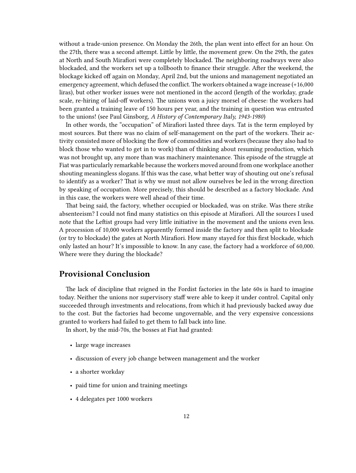without a trade-union presence. On Monday the 26th, the plan went into effect for an hour. On the 27th, there was a second attempt. Little by little, the movement grew. On the 29th, the gates at North and South Mirafiori were completely blockaded. The neighboring roadways were also blockaded, and the workers set up a tollbooth to finance their struggle. After the weekend, the blockage kicked off again on Monday, April 2nd, but the unions and management negotiated an emergency agreement, which defused the conflict.The workers obtained a wage increase (+16,000 liras), but other worker issues were not mentioned in the accord (length of the workday, grade scale, re-hiring of laid-off workers). The unions won a juicy morsel of cheese: the workers had been granted a training leave of 150 hours per year, and the training in question was entrusted to the unions! (see Paul Ginsborg, *A History of Contemporary Italy, 1943-1980*)

In other words, the "occupation" of Mirafiori lasted three days. Tat is the term employed by most sources. But there was no claim of self-management on the part of the workers. Their activity consisted more of blocking the flow of commodities and workers (because they also had to block those who wanted to get in to work) than of thinking about resuming production, which was not brought up, any more than was machinery maintenance. This episode of the struggle at Fiat was particularly remarkable because the workers moved around from one workplace another shouting meaningless slogans. If this was the case, what better way of shouting out one's refusal to identify as a worker? That is why we must not allow ourselves be led in the wrong direction by speaking of occupation. More precisely, this should be described as a factory blockade. And in this case, the workers were well ahead of their time.

That being said, the factory, whether occupied or blockaded, was on strike. Was there strike absenteeism? I could not find many statistics on this episode at Mirafiori. All the sources I used note that the Leftist groups had very little initiative in the movement and the unions even less. A procession of 10,000 workers apparently formed inside the factory and then split to blockade (or try to blockade) the gates at North Mirafiori. How many stayed for this first blockade, which only lasted an hour? It's impossible to know. In any case, the factory had a workforce of 60,000. Where were they during the blockade?

## <span id="page-11-0"></span>**Provisional Conclusion**

The lack of discipline that reigned in the Fordist factories in the late 60s is hard to imagine today. Neither the unions nor supervisory staff were able to keep it under control. Capital only succeeded through investments and relocations, from which it had previously backed away due to the cost. But the factories had become ungovernable, and the very expensive concessions granted to workers had failed to get them to fall back into line.

In short, by the mid-70s, the bosses at Fiat had granted:

- large wage increases
- discussion of every job change between management and the worker
- a shorter workday
- paid time for union and training meetings
- 4 delegates per 1000 workers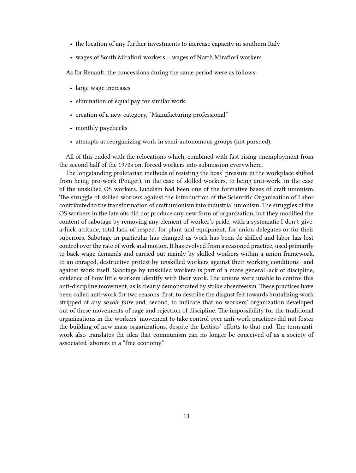- the location of any further investments to increase capacity in southern Italy
- wages of South Mirafiori workers = wages of North Mirafiori workers

As for Renault, the concessions during the same period were as follows:

- large wage increases
- elimination of equal pay for similar work
- creation of a new category, "Manufacturing professional"
- monthly paychecks
- attempts at reorganizing work in semi-autonomous groups (not pursued).

All of this ended with the relocations which, combined with fast-rising unemployment from the second half of the 1970s on, forced workers into submission everywhere.

The longstanding proletarian methods of resisting the boss' pressure in the workplace shifted from being pro-work (Pouget), in the case of skilled workers, to being anti-work, in the case of the unskilled OS workers. Luddism had been one of the formative bases of craft unionism. The struggle of skilled workers against the introduction of the Scientific Organization of Labor contributed to the transformation of craft unionism into industrial unionism. The struggles of the OS workers in the late 60s did not produce any new form of organization, but they modified the content of sabotage by removing any element of worker's pride, with a systematic I-don't-givea-fuck attitude, total lack of respect for plant and equipment, for union delegates or for their superiors. Sabotage in particular has changed as work has been de-skilled and labor has lost control over the rate of work and motion. It has evolved from a reasoned practice, used primarily to back wage demands and carried out mainly by skilled workers within a union framework, to an enraged, destructive protest by unskilled workers against their working conditions—and against work itself. Sabotage by unskilled workers is part of a more general lack of discipline, evidence of how little workers identify with their work. The unions were unable to control this anti-discipline movement, as is clearly demonstrated by strike absenteeism. These practices have been called anti-work for two reasons: first, to describe the disgust felt towards brutalizing work stripped of any *savoir faire* and, second, to indicate that no workers' organization developed out of these movements of rage and rejection of discipline. The impossibility for the traditional organizations in the workers' movement to take control over anti-work practices did not foster the building of new mass organizations, despite the Leftists' efforts to that end. The term antiwork also translates the idea that communism can no longer be conceived of as a society of associated laborers in a "free economy."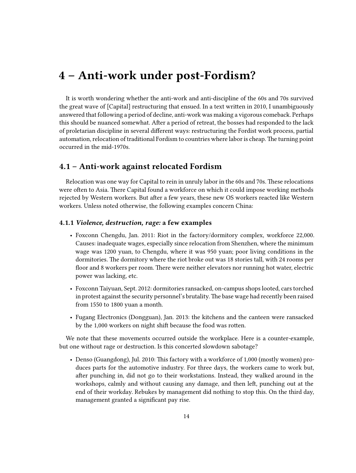## <span id="page-13-0"></span>**4 – Anti-work under post-Fordism?**

It is worth wondering whether the anti-work and anti-discipline of the 60s and 70s survived the great wave of [Capital] restructuring that ensued. In a text written in 2010, I unambiguously answered that following a period of decline, anti-work was making a vigorous comeback. Perhaps this should be nuanced somewhat. After a period of retreat, the bosses had responded to the lack of proletarian discipline in several different ways: restructuring the Fordist work process, partial automation, relocation of traditional Fordism to countries where labor is cheap. The turning point occurred in the mid-1970s.

## <span id="page-13-1"></span>**4.1 – Anti-work against relocated Fordism**

Relocation was one way for Capital to rein in unruly labor in the 60s and 70s. These relocations were often to Asia. There Capital found a workforce on which it could impose working methods rejected by Western workers. But after a few years, these new OS workers reacted like Western workers. Unless noted otherwise, the following examples concern China:

#### <span id="page-13-2"></span>**4.1.1** *Violence, destruction, rage:* **a few examples**

- Foxconn Chengdu, Jan. 2011: Riot in the factory/dormitory complex, workforce 22,000. Causes: inadequate wages, especially since relocation from Shenzhen, where the minimum wage was 1200 yuan, to Chengdu, where it was 950 yuan; poor living conditions in the dormitories. The dormitory where the riot broke out was 18 stories tall, with 24 rooms per floor and 8 workers per room. There were neither elevators nor running hot water, electric power was lacking, etc.
- Foxconn Taiyuan, Sept. 2012: dormitories ransacked, on-campus shops looted, cars torched in protest against the security personnel's brutality.The base wage had recently been raised from 1550 to 1800 yuan a month.
- Fugang Electronics (Dongguan), Jan. 2013: the kitchens and the canteen were ransacked by the 1,000 workers on night shift because the food was rotten.

We note that these movements occurred outside the workplace. Here is a counter-example, but one without rage or destruction. Is this concerted slowdown sabotage?

• Denso (Guangdong), Jul. 2010: This factory with a workforce of 1,000 (mostly women) produces parts for the automotive industry. For three days, the workers came to work but, after punching in, did not go to their workstations. Instead, they walked around in the workshops, calmly and without causing any damage, and then left, punching out at the end of their workday. Rebukes by management did nothing to stop this. On the third day, management granted a significant pay rise.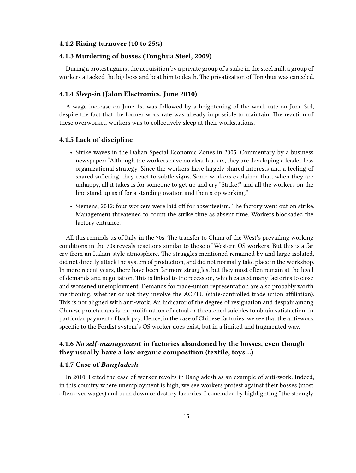### <span id="page-14-0"></span>**4.1.2 Rising turnover (10 to 25%)**

### <span id="page-14-1"></span>**4.1.3 Murdering of bosses (Tonghua Steel, 2009)**

During a protest against the acquisition by a private group of a stake in the steel mill, a group of workers attacked the big boss and beat him to death. The privatization of Tonghua was canceled.

#### <span id="page-14-2"></span>**4.1.4** *Sleep-in* **(Jalon Electronics, June 2010)**

A wage increase on June 1st was followed by a heightening of the work rate on June 3rd, despite the fact that the former work rate was already impossible to maintain. The reaction of these overworked workers was to collectively sleep at their workstations.

#### <span id="page-14-3"></span>**4.1.5 Lack of discipline**

- Strike waves in the Dalian Special Economic Zones in 2005. Commentary by a business newspaper: "Although the workers have no clear leaders, they are developing a leader-less organizational strategy. Since the workers have largely shared interests and a feeling of shared suffering, they react to subtle signs. Some workers explained that, when they are unhappy, all it takes is for someone to get up and cry "Strike!" and all the workers on the line stand up as if for a standing ovation and then stop working."
- Siemens, 2012: four workers were laid off for absenteeism. The factory went out on strike. Management threatened to count the strike time as absent time. Workers blockaded the factory entrance.

All this reminds us of Italy in the 70s. The transfer to China of the West's prevailing working conditions in the 70s reveals reactions similar to those of Western OS workers. But this is a far cry from an Italian-style atmosphere. The struggles mentioned remained by and large isolated, did not directly attack the system of production, and did not normally take place in the workshop. In more recent years, there have been far more struggles, but they most often remain at the level of demands and negotiation. This is linked to the recession, which caused many factories to close and worsened unemployment. Demands for trade-union representation are also probably worth mentioning, whether or not they involve the ACFTU (state-controlled trade union affiliation). This is not aligned with anti-work. An indicator of the degree of resignation and despair among Chinese proletarians is the proliferation of actual or threatened suicides to obtain satisfaction, in particular payment of back pay. Hence, in the case of Chinese factories, we see that the anti-work specific to the Fordist system's OS worker does exist, but in a limited and fragmented way.

### <span id="page-14-4"></span>**4.1.6** *No self-management* **in factories abandoned by the bosses, even though they usually have a low organic composition (textile, toys…)**

### <span id="page-14-5"></span>**4.1.7 Case of** *Bangladesh*

In 2010, I cited the case of worker revolts in Bangladesh as an example of anti-work. Indeed, in this country where unemployment is high, we see workers protest against their bosses (most often over wages) and burn down or destroy factories. I concluded by highlighting "the strongly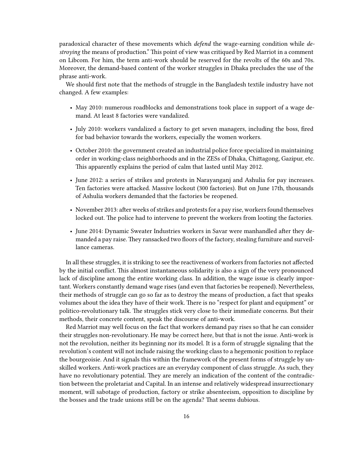paradoxical character of these movements which *defend* the wage-earning condition while *destroying* the means of production." This point of view was critiqued by Red Marriot in a comment on Libcom. For him, the term anti-work should be reserved for the revolts of the 60s and 70s. Moreover, the demand-based content of the worker struggles in Dhaka precludes the use of the phrase anti-work.

We should first note that the methods of struggle in the Bangladesh textile industry have not changed. A few examples:

- May 2010: numerous roadblocks and demonstrations took place in support of a wage demand. At least 8 factories were vandalized.
- July 2010: workers vandalized a factory to get seven managers, including the boss, fired for bad behavior towards the workers, especially the women workers.
- October 2010: the government created an industrial police force specialized in maintaining order in working-class neighborhoods and in the ZESs of Dhaka, Chittagong, Gazipur, etc. This apparently explains the period of calm that lasted until May 2012.
- June 2012: a series of strikes and protests in Narayanganj and Ashulia for pay increases. Ten factories were attacked. Massive lockout (300 factories). But on June 17th, thousands of Ashulia workers demanded that the factories be reopened.
- November 2013: after weeks of strikes and protests for a pay rise, workers found themselves locked out. The police had to intervene to prevent the workers from looting the factories.
- June 2014: Dynamic Sweater Industries workers in Savar were manhandled after they demanded a pay raise. They ransacked two floors of the factory, stealing furniture and surveillance cameras.

In all these struggles, it is striking to see the reactiveness of workers from factories not affected by the initial conflict. This almost instantaneous solidarity is also a sign of the very pronounced lack of discipline among the entire working class. In addition, the wage issue is clearly important. Workers constantly demand wage rises (and even that factories be reopened). Nevertheless, their methods of struggle can go so far as to destroy the means of production, a fact that speaks volumes about the idea they have of their work. There is no "respect for plant and equipment" or politico-revolutionary talk. The struggles stick very close to their immediate concerns. But their methods, their concrete content, speak the discourse of anti-work.

Red Marriot may well focus on the fact that workers demand pay rises so that he can consider their struggles non-revolutionary. He may be correct here, but that is not the issue. Anti-work is not the revolution, neither its beginning nor its model. It is a form of struggle signaling that the revolution's content will not include raising the working class to a hegemonic position to replace the bourgeoisie. And it signals this within the framework of the present forms of struggle by unskilled workers. Anti-work practices are an everyday component of class struggle. As such, they have no revolutionary potential. They are merely an indication of the content of the contradiction between the proletariat and Capital. In an intense and relatively widespread insurrectionary moment, will sabotage of production, factory or strike absenteeism, opposition to discipline by the bosses and the trade unions still be on the agenda? That seems dubious.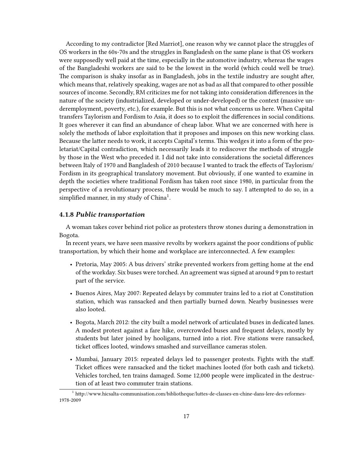According to my contradictor [Red Marriot], one reason why we cannot place the struggles of OS workers in the 60s-70s and the struggles in Bangladesh on the same plane is that OS workers were supposedly well paid at the time, especially in the automotive industry, whereas the wages of the Bangladeshi workers are said to be the lowest in the world (which could well be true). The comparison is shaky insofar as in Bangladesh, jobs in the textile industry are sought after, which means that, relatively speaking, wages are not as bad as all that compared to other possible sources of income. Secondly, RM criticizes me for not taking into consideration differences in the nature of the society (industrialized, developed or under-developed) or the context (massive underemployment, poverty, etc.), for example. But this is not what concerns us here. When Capital transfers Taylorism and Fordism to Asia, it does so to exploit the differences in social conditions. It goes wherever it can find an abundance of cheap labor. What we are concerned with here is solely the methods of labor exploitation that it proposes and imposes on this new working class. Because the latter needs to work, it accepts Capital's terms. This wedges it into a form of the proletariat/Capital contradiction, which necessarily leads it to rediscover the methods of struggle by those in the West who preceded it. I did not take into considerations the societal differences between Italy of 1970 and Bangladesh of 2010 because I wanted to track the effects of Taylorism/ Fordism in its geographical translatory movement. But obviously, if one wanted to examine in depth the societies where traditional Fordism has taken root since 1980, in particular from the perspective of a revolutionary process, there would be much to say. I attempted to do so, in a simplified manner, in my study of  $China<sup>1</sup>$ .

#### <span id="page-16-0"></span>**4.1.8** *Public transportation*

A woman takes cover behind riot police as protesters throw stones during a demonstration in Bogota.

In recent years, we have seen massive revolts by workers against the poor conditions of public transportation, by which their home and workplace are interconnected. A few examples:

- Pretoria, May 2005: A bus drivers' strike prevented workers from getting home at the end of the workday. Six buses were torched. An agreement was signed at around 9 pm to restart part of the service.
- Buenos Aires, May 2007: Repeated delays by commuter trains led to a riot at Constitution station, which was ransacked and then partially burned down. Nearby businesses were also looted.
- Bogota, March 2012: the city built a model network of articulated buses in dedicated lanes. A modest protest against a fare hike, overcrowded buses and frequent delays, mostly by students but later joined by hooligans, turned into a riot. Five stations were ransacked, ticket offices looted, windows smashed and surveillance cameras stolen.
- Mumbai, January 2015: repeated delays led to passenger protests. Fights with the staff. Ticket offices were ransacked and the ticket machines looted (for both cash and tickets). Vehicles torched, ten trains damaged. Some 12,000 people were implicated in the destruction of at least two commuter train stations.

<sup>1</sup> http://www.hicsalta-communisation.com/bibliotheque/luttes-de-classes-en-chine-dans-lere-des-reformes-1978-2009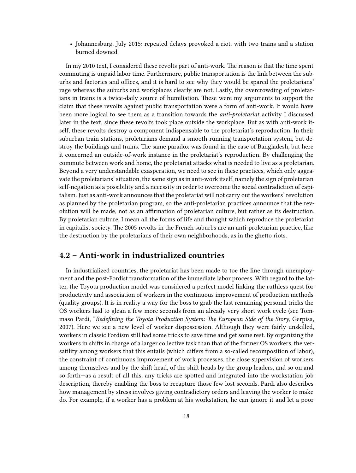• Johannesburg, July 2015: repeated delays provoked a riot, with two trains and a station burned downed.

In my 2010 text, I considered these revolts part of anti-work. The reason is that the time spent commuting is unpaid labor time. Furthermore, public transportation is the link between the suburbs and factories and offices, and it is hard to see why they would be spared the proletarians' rage whereas the suburbs and workplaces clearly are not. Lastly, the overcrowding of proletarians in trains is a twice-daily source of humiliation. These were my arguments to support the claim that these revolts against public transportation were a form of anti-work. It would have been more logical to see them as a transition towards the *anti-proletariat* activity I discussed later in the text, since these revolts took place outside the workplace. But as with anti-work itself, these revolts destroy a component indispensable to the proletariat's reproduction. In their suburban train stations, proletarians demand a smooth-running transportation system, but destroy the buildings and trains. The same paradox was found in the case of Bangladesh, but here it concerned an outside-of-work instance in the proletariat's reproduction. By challenging the commute between work and home, the proletariat attacks what is needed to live as a proletarian. Beyond a very understandable exasperation, we need to see in these practices, which only aggravate the proletarians' situation, the same sign as in anti-work itself, namely the sign of proletarian self-negation as a possibility and a necessity in order to overcome the social contradiction of capitalism. Just as anti-work announces that the proletariat will not carry out the workers' revolution as planned by the proletarian program, so the anti-proletarian practices announce that the revolution will be made, not as an affirmation of proletarian culture, but rather as its destruction. By proletarian culture, I mean all the forms of life and thought which reproduce the proletariat in capitalist society. The 2005 revolts in the French suburbs are an anti-proletarian practice, like the destruction by the proletarians of their own neighborhoods, as in the ghetto riots.

## <span id="page-17-0"></span>**4.2 – Anti-work in industrialized countries**

In industrialized countries, the proletariat has been made to toe the line through unemployment and the post-Fordist transformation of the immediate labor process. With regard to the latter, the Toyota production model was considered a perfect model linking the ruthless quest for productivity and association of workers in the continuous improvement of production methods (quality groups). It is in reality a way for the boss to grab the last remaining personal tricks the OS workers had to glean a few more seconds from an already very short work cycle (see Tommaso Pardi, "*Redefining the Toyota Production System: The European Side of the Story,* Gerpisa, 2007). Here we see a new level of worker dispossession. Although they were fairly unskilled, workers in classic Fordism still had some tricks to save time and get some rest. By organizing the workers in shifts in charge of a larger collective task than that of the former OS workers, the versatility among workers that this entails (which differs from a so-called recomposition of labor), the constraint of continuous improvement of work processes, the close supervision of workers among themselves and by the shift head, of the shift heads by the group leaders, and so on and so forth—as a result of all this, any tricks are spotted and integrated into the workstation job description, thereby enabling the boss to recapture those few lost seconds. Pardi also describes how management by stress involves giving contradictory orders and leaving the worker to make do. For example, if a worker has a problem at his workstation, he can ignore it and let a poor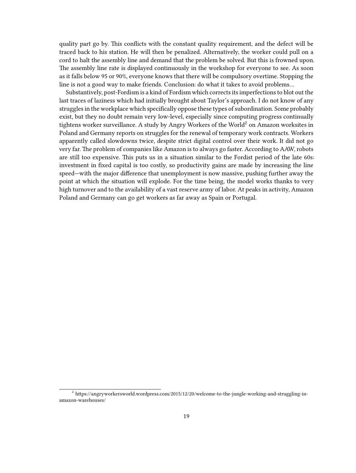quality part go by. This conflicts with the constant quality requirement, and the defect will be traced back to his station. He will then be penalized. Alternatively, the worker could pull on a cord to halt the assembly line and demand that the problem be solved. But this is frowned upon. The assembly line rate is displayed continuously in the workshop for everyone to see. As soon as it falls below 95 or 90%, everyone knows that there will be compulsory overtime. Stopping the line is not a good way to make friends. Conclusion: do what it takes to avoid problems…

Substantively, post-Fordism is a kind of Fordism which corrects its imperfections to blot out the last traces of laziness which had initially brought about Taylor's approach. I do not know of any struggles in the workplace which specifically oppose these types of subordination. Some probably exist, but they no doubt remain very low-level, especially since computing progress continually tightens worker surveillance. A study by Angry Workers of the World<sup>2</sup> on Amazon worksites in Poland and Germany reports on struggles for the renewal of temporary work contracts. Workers apparently called slowdowns twice, despite strict digital control over their work. It did not go very far. The problem of companies like Amazon is to always go faster. According to AAW, robots are still too expensive. This puts us in a situation similar to the Fordist period of the late 60s: investment in fixed capital is too costly, so productivity gains are made by increasing the line speed—with the major difference that unemployment is now massive, pushing further away the point at which the situation will explode. For the time being, the model works thanks to very high turnover and to the availability of a vast reserve army of labor. At peaks in activity, Amazon Poland and Germany can go get workers as far away as Spain or Portugal.

<sup>2</sup> https://angryworkersworld.wordpress.com/2015/12/20/welcome-to-the-jungle-working-and-struggling-inamazon-warehouses/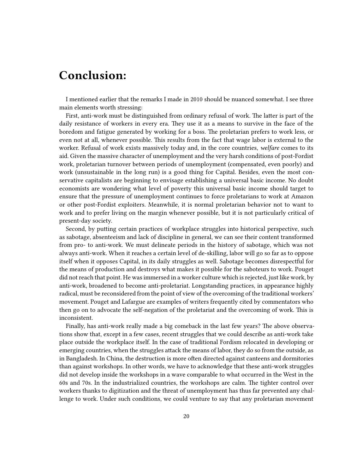# <span id="page-19-0"></span>**Conclusion:**

I mentioned earlier that the remarks I made in 2010 should be nuanced somewhat. I see three main elements worth stressing:

First, anti-work must be distinguished from ordinary refusal of work. The latter is part of the daily resistance of workers in every era. They use it as a means to survive in the face of the boredom and fatigue generated by working for a boss. The proletarian prefers to work less, or even not at all, whenever possible. This results from the fact that wage labor is external to the worker. Refusal of work exists massively today and, in the core countries, *welfare* comes to its aid. Given the massive character of unemployment and the very harsh conditions of post-Fordist work, proletarian turnover between periods of unemployment (compensated, even poorly) and work (unsustainable in the long run) is a good thing for Capital. Besides, even the most conservative capitalists are beginning to envisage establishing a universal basic income. No doubt economists are wondering what level of poverty this universal basic income should target to ensure that the pressure of unemployment continues to force proletarians to work at Amazon or other post-Fordist exploiters. Meanwhile, it is normal proletarian behavior not to want to work and to prefer living on the margin whenever possible, but it is not particularly critical of present-day society.

Second, by putting certain practices of workplace struggles into historical perspective, such as sabotage, absenteeism and lack of discipline in general, we can see their content transformed from pro- to anti-work. We must delineate periods in the history of sabotage, which was not always anti-work. When it reaches a certain level of de-skilling, labor will go so far as to oppose itself when it opposes Capital, in its daily struggles as well. Sabotage becomes disrespectful for the means of production and destroys what makes it possible for the saboteurs to work. Pouget did not reach that point. He was immersed in a worker culture which is rejected, just like work, by anti-work, broadened to become anti-proletariat. Longstanding practices, in appearance highly radical, must be reconsidered from the point of view of the overcoming of the traditional workers' movement. Pouget and Lafargue are examples of writers frequently cited by commentators who then go on to advocate the self-negation of the proletariat and the overcoming of work. This is inconsistent.

Finally, has anti-work really made a big comeback in the last few years? The above observations show that, except in a few cases, recent struggles that we could describe as anti-work take place outside the workplace itself. In the case of traditional Fordism relocated in developing or emerging countries, when the struggles attack the means of labor, they do so from the outside, as in Bangladesh. In China, the destruction is more often directed against canteens and dormitories than against workshops. In other words, we have to acknowledge that these anti-work struggles did not develop inside the workshops in a wave comparable to what occurred in the West in the 60s and 70s. In the industrialized countries, the workshops are calm. The tighter control over workers thanks to digitization and the threat of unemployment has thus far prevented any challenge to work. Under such conditions, we could venture to say that any proletarian movement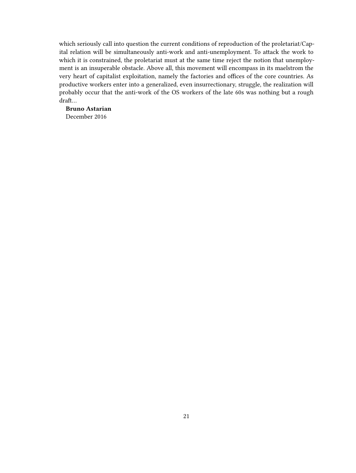which seriously call into question the current conditions of reproduction of the proletariat/Capital relation will be simultaneously anti-work and anti-unemployment. To attack the work to which it is constrained, the proletariat must at the same time reject the notion that unemployment is an insuperable obstacle. Above all, this movement will encompass in its maelstrom the very heart of capitalist exploitation, namely the factories and offices of the core countries. As productive workers enter into a generalized, even insurrectionary, struggle, the realization will probably occur that the anti-work of the OS workers of the late 60s was nothing but a rough draft…

**Bruno Astarian** December 2016